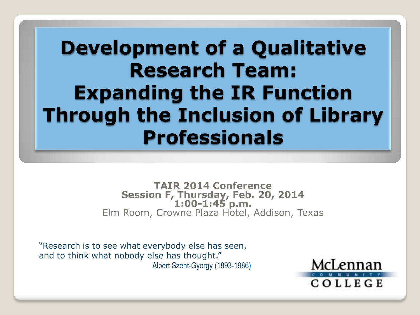## **Development of a Qualitative Research Team: Expanding the IR Function Through the Inclusion of Library Professionals**

**TAIR 2014 Conference Session F, Thursday, Feb. 20, 2014 1:00-1:45 p.m.** Elm Room, Crowne Plaza Hotel, Addison, Texas

"Research is to see what everybody else has seen, and to think what nobody else has thought." Albert Szent-Gyorgy (1893-1986)

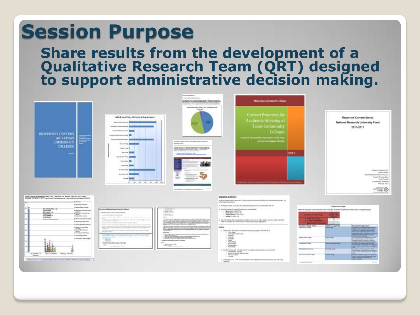# **Session Purpose**

#### **Share results from the development of a Qualitative Research Team (QRT) designed to support administrative decision making.**

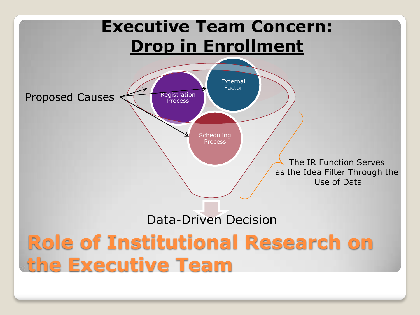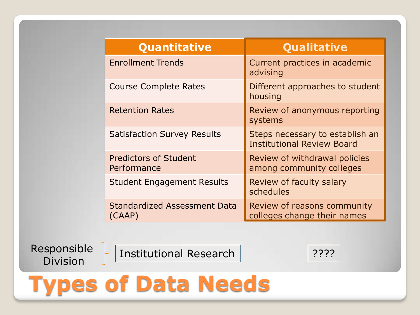| Quantitative                                  | Qualitative                                                          |
|-----------------------------------------------|----------------------------------------------------------------------|
| <b>Enrollment Trends</b>                      | Current practices in academic<br>advising                            |
| <b>Course Complete Rates</b>                  | Different approaches to student<br>housing                           |
| <b>Retention Rates</b>                        | Review of anonymous reporting<br>systems                             |
| <b>Satisfaction Survey Results</b>            | Steps necessary to establish an<br><b>Institutional Review Board</b> |
| <b>Predictors of Student</b><br>Performance   | Review of withdrawal policies<br>among community colleges            |
| <b>Student Engagement Results</b>             | Review of faculty salary<br>schedules                                |
| <b>Standardized Assessment Data</b><br>(CAAP) | Review of reasons community<br>colleges change their names           |

Responsible

Sponsible | Institutional Research | 2???<br>Division

# **Types of Data Needs**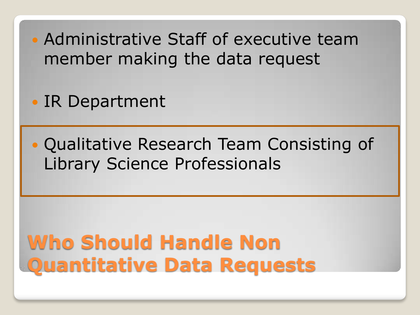Administrative Staff of executive team member making the data request

• IR Department

## Qualitative Research Team Consisting of Library Science Professionals

**Who Should Handle Non Quantitative Data Requests**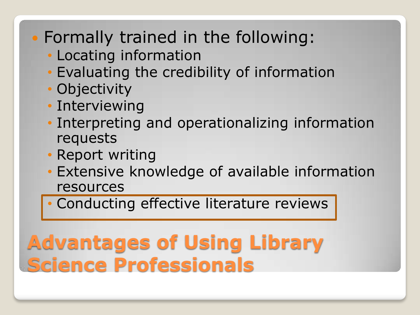## Formally trained in the following:

- Locating information
- Evaluating the credibility of information
- Objectivity
- Interviewing
- Interpreting and operationalizing information requests
- Report writing
- Extensive knowledge of available information resources
- Conducting effective literature reviews

# **Advantages of Using Library Science Professionals**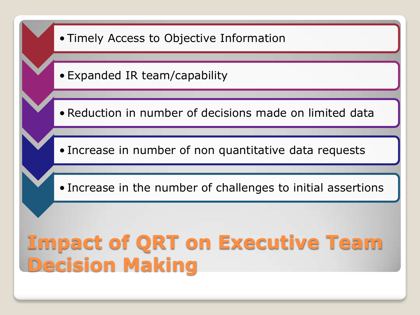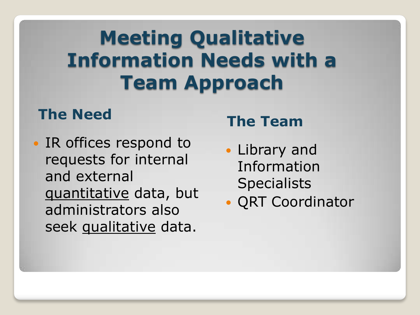# **Meeting Qualitative Information Needs with a Team Approach**

## **The Need The Team**

• IR offices respond to requests for internal and external quantitative data, but administrators also seek qualitative data.

- Library and Information **Specialists**
- QRT Coordinator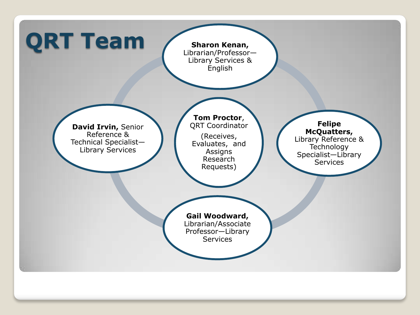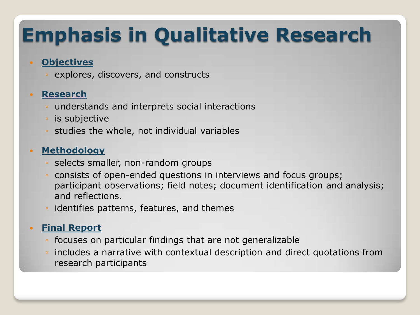# **Emphasis in Qualitative Research**

#### **Objectives**

explores, discovers, and constructs

#### **Research**

- understands and interprets social interactions
- is subjective
- studies the whole, not individual variables

#### **Methodology**

- selects smaller, non-random groups
- consists of open-ended questions in interviews and focus groups; participant observations; field notes; document identification and analysis; and reflections.
- identifies patterns, features, and themes

#### **Final Report**

- focuses on particular findings that are not generalizable
- includes a narrative with contextual description and direct quotations from research participants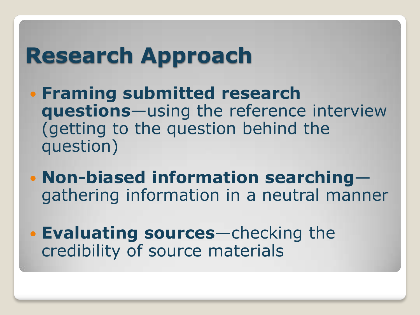# **Research Approach**

- **Framing submitted research questions**—using the reference interview (getting to the question behind the question)
- **Non-biased information searching** gathering information in a neutral manner
- **Evaluating sources**—checking the credibility of source materials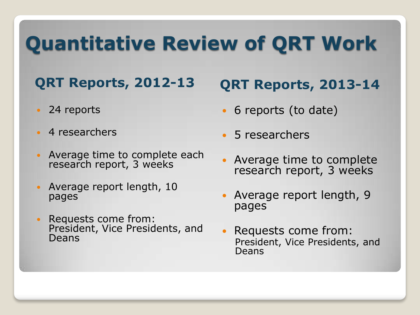# **Quantitative Review of QRT Work**

## **QRT Reports, 2012-13 QRT Reports, 2013-14**

- 24 reports
- 4 researchers
- Average time to complete each research report, 3 weeks
- Average report length, 10 pages
- Requests come from: President, Vice Presidents, and Deans

- 6 reports (to date)
- 5 researchers
- Average time to complete research report, 3 weeks
- Average report length, 9 pages
- Requests come from: President, Vice Presidents, and Deans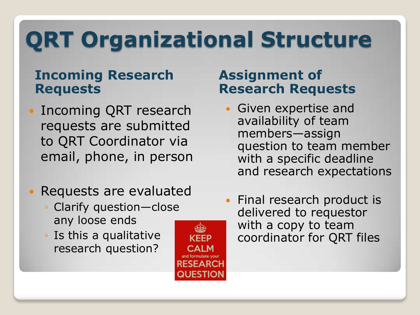# **QRT Organizational Structure**

### **Incoming Research Requests**

- Incoming QRT research requests are submitted to QRT Coordinator via email, phone, in person
- Requests are evaluated
	- Clarify question-close any loose ends
	- Is this a qualitative research question?



### **Assignment of Research Requests**

- Given expertise and availability of team members—assign question to team member with a specific deadline and research expectations
- Final research product is delivered to requestor with a copy to team coordinator for QRT files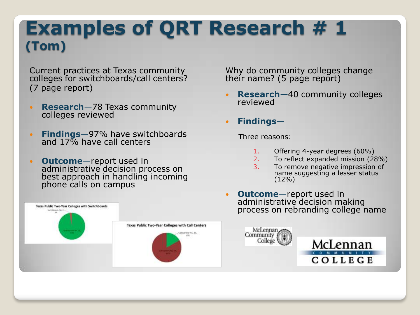## **Examples of QRT Research # 1 (Tom)**

Current practices at Texas community colleges for switchboards/call centers? (7 page report)

- **Research**—78 Texas community colleges reviewed
- **Findings**—97% have switchboards and 17% have call centers
- **Outcome**—report used in administrative decision process on best approach in handling incoming phone calls on campus



Why do community colleges change their name? (5 page report)

- **Research**—40 community colleges reviewed
- **Findings**—

Three reasons:

- 1. Offering 4-year degrees (60%)
- 2. To reflect expanded mission (28%)
- 3. To remove negative impression of name suggesting a lesser status  $(12\%)$
- **Outcome**—report used in administrative decision making process on rebranding college name

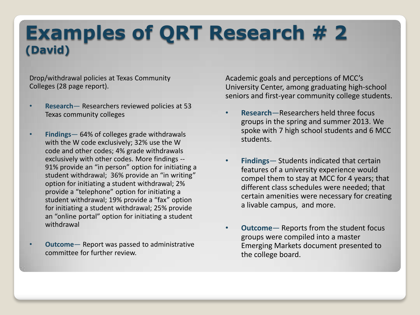## **Examples of QRT Research # 2 (David)**

Drop/withdrawal policies at Texas Community Colleges (28 page report).

- **Research** Researchers reviewed policies at 53 Texas community colleges
- **Findings** 64% of colleges grade withdrawals with the W code exclusively; 32% use the W code and other codes; 4% grade withdrawals exclusively with other codes. More findings -- 91% provide an "in person" option for initiating a student withdrawal; 36% provide an "in writing" option for initiating a student withdrawal; 2% provide a "telephone" option for initiating a student withdrawal; 19% provide a "fax" option for initiating a student withdrawal; 25% provide an "online portal" option for initiating a student withdrawal
- **Outcome** Report was passed to administrative committee for further review.

Academic goals and perceptions of MCC's University Center, among graduating high-school seniors and first-year community college students.

- **Research**—Researchers held three focus groups in the spring and summer 2013. We spoke with 7 high school students and 6 MCC students.
- **Findings** Students indicated that certain features of a university experience would compel them to stay at MCC for 4 years; that different class schedules were needed; that certain amenities were necessary for creating a livable campus, and more.
- **Outcome** Reports from the student focus groups were compiled into a master Emerging Markets document presented to the college board.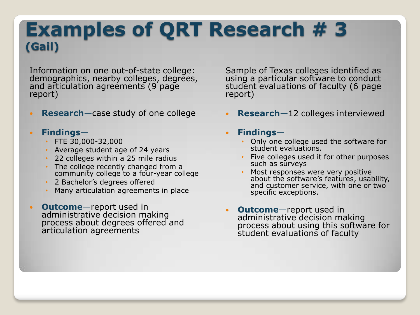## **Examples of QRT Research # 3 (Gail)**

Information on one out-of-state college: demographics, nearby colleges, degrees, and articulation agreements (9 page report)

**Research**—case study of one college

#### **Findings**—

- FTE 30,000-32,000
- Average student age of 24 years
- 22 colleges within a 25 mile radius
- The college recently changed from a community college to a four-year college
- 2 Bachelor's degrees offered
- Many articulation agreements in place
- **Outcome**—report used in administrative decision making process about degrees offered and articulation agreements

Sample of Texas colleges identified as using a particular software to conduct student evaluations of faculty (6 page report)

- **Research**—12 colleges interviewed
- **Findings**
	- Only one college used the software for student evaluations.
	- Five colleges used it for other purposes such as surveys
	- Most responses were very positive about the software's features, usability, and customer service, with one or two specific exceptions.
- **Outcome**—report used in administrative decision making process about using this software for student evaluations of faculty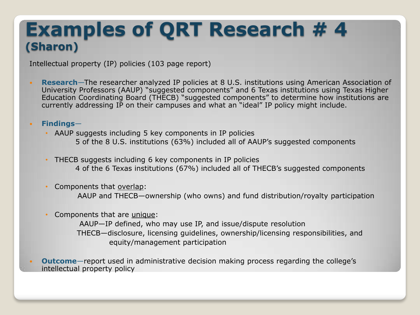## **Examples of QRT Research # 4 (Sharon)**

Intellectual property (IP) policies (103 page report)

 **Research**—The researcher analyzed IP policies at 8 U.S. institutions using American Association of University Professors (AAUP) "suggested components" and 6 Texas institutions using Texas Higher Education Coordinating Board (THECB) "suggested components" to determine how institutions are currently addressing IP on their campuses and what an "ideal" IP policy might include.

#### **Findings**—

- AAUP suggests including 5 key components in IP policies 5 of the 8 U.S. institutions (63%) included all of AAUP's suggested components
- THECB suggests including 6 key components in IP policies 4 of the 6 Texas institutions (67%) included all of THECB's suggested components
- Components that overlap:

AAUP and THECB—ownership (who owns) and fund distribution/royalty participation

• Components that are unique:

AAUP—IP defined, who may use IP, and issue/dispute resolution THECB—disclosure, licensing guidelines, ownership/licensing responsibilities, and equity/management participation

 **Outcome**—report used in administrative decision making process regarding the college's intellectual property policy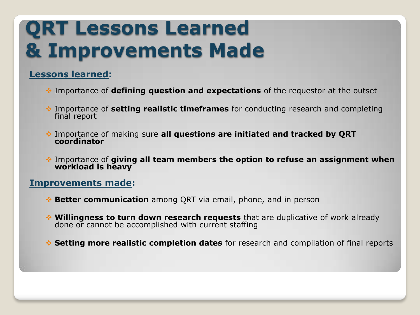## **QRT Lessons Learned & Improvements Made**

#### **Lessons learned:**

- Importance of **defining question and expectations** of the requestor at the outset
- Importance of **setting realistic timeframes** for conducting research and completing final report
- Importance of making sure **all questions are initiated and tracked by QRT coordinator**
- Importance of **giving all team members the option to refuse an assignment when workload is heavy**

#### **Improvements made:**

- **Better communication** among QRT via email, phone, and in person
- **Willingness to turn down research requests** that are duplicative of work already done or cannot be accomplished with current staffing
- **Setting more realistic completion dates** for research and compilation of final reports